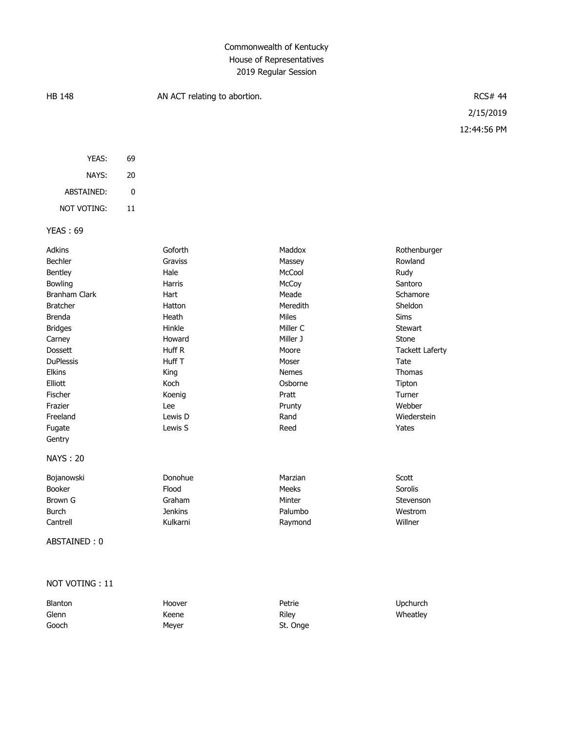# Commonwealth of Kentucky House of Representatives 2019 Regular Session

| <b>HB 148</b>        |             | AN ACT relating to abortion. |              |                        | <b>RCS# 44</b> |
|----------------------|-------------|------------------------------|--------------|------------------------|----------------|
|                      |             |                              |              |                        | 2/15/2019      |
|                      |             |                              |              |                        | 12:44:56 PM    |
| YEAS:                | 69          |                              |              |                        |                |
| NAYS:                | 20          |                              |              |                        |                |
| ABSTAINED:           | $\mathbf 0$ |                              |              |                        |                |
| <b>NOT VOTING:</b>   | 11          |                              |              |                        |                |
| <b>YEAS: 69</b>      |             |                              |              |                        |                |
| Adkins               |             | Goforth                      | Maddox       | Rothenburger           |                |
| Bechler              |             | Graviss                      | Massey       | Rowland                |                |
| Bentley              |             | Hale                         | McCool       | Rudy                   |                |
| Bowling              |             | Harris                       | McCoy        | Santoro                |                |
| <b>Branham Clark</b> |             | Hart                         | Meade        | Schamore               |                |
| <b>Bratcher</b>      |             | Hatton                       | Meredith     | Sheldon                |                |
| <b>Brenda</b>        |             | Heath                        | Miles        | <b>Sims</b>            |                |
| <b>Bridges</b>       |             | Hinkle                       | Miller C     | Stewart                |                |
| Carney               |             | Howard                       | Miller J     | Stone                  |                |
| <b>Dossett</b>       |             | Huff R                       | Moore        | <b>Tackett Laferty</b> |                |
| <b>DuPlessis</b>     |             | Huff T                       | Moser        | Tate                   |                |
| <b>Elkins</b>        |             | King                         | <b>Nemes</b> | Thomas                 |                |
| Elliott              |             | Koch                         | Osborne      | Tipton                 |                |
| Fischer              |             | Koenig                       | Pratt        | Turner                 |                |
| Frazier              |             | Lee                          | Prunty       | Webber                 |                |
| Freeland             |             | Lewis D                      | Rand         | Wiederstein            |                |

#### NAYS : 20

Gentry

| Bojanowski    | Donohue  | Marzian | Scott     |
|---------------|----------|---------|-----------|
| <b>Booker</b> | Flood    | Meeks   | Sorolis   |
| Brown G       | Graham   | Minter  | Stevenson |
| Burch         | Jenkins  | Palumbo | Westrom   |
| Cantrell      | Kulkarni | Raymond | Willner   |

Fugate **Lewis S** Reed Reed Table Table 1

## ABSTAINED : 0

### NOT VOTING : 11

| Blanton | Hoover | Petrie   | Upchurch |
|---------|--------|----------|----------|
| Glenn   | Keene  | Rilev    | Wheatley |
| Gooch   | Mever  | St. Onge |          |